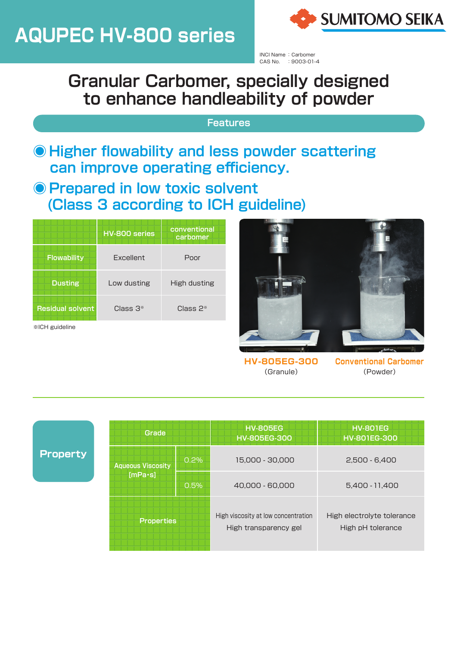# **AQUPEC HV-800 series**



INCI Name: Carbomer CAS No. : 9003-01-4

## **Granular Carbomer, specially designed** to enhance handleability of powder

## **Features**

- **Higher flowability and less powder scattering** can improve operating efficiency.
- **Prepared in low toxic solvent (Class 3 according to ICH guideline)**

|                              | HV-800 series | conventional<br>carbomer |
|------------------------------|---------------|--------------------------|
| <b>Flowability</b>           | Excellent     | Poor                     |
| <b>Dusting</b>               | Low dusting   | High dusting             |
| <b>Residual solvent</b>      | Class $3*$    | Class $2*$               |
| <b><i>*ICH guideline</i></b> |               |                          |



**-300EG-805HV** (Granule)

**Carbomer Conventional** (Powder)

|  |  | <b>Property</b> |
|--|--|-----------------|
|  |  |                 |
|  |  |                 |

| Grade                               |      | <b>HV-805EG</b><br><b>HV-805EG-300</b>                       | <b>HV-801EG</b><br><b>HV-801EG-300</b>          |
|-------------------------------------|------|--------------------------------------------------------------|-------------------------------------------------|
| <b>Aqueous Viscosity</b><br>[mPa·s] | 0.2% | 15,000 - 30,000                                              | $2.500 - 6.400$                                 |
|                                     | 0.5% | 40,000 - 60,000                                              | 5,400 - 11,400                                  |
| <b>Properties</b>                   |      | High viscosity at low concentration<br>High transparency gel | High electrolyte tolerance<br>High pH tolerance |